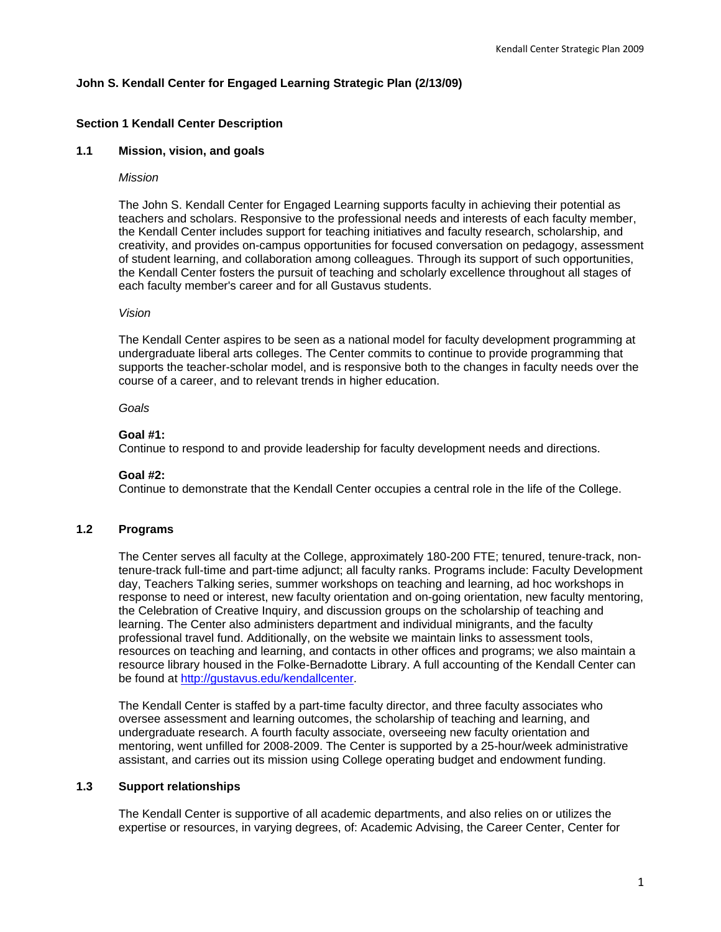# **John S. Kendall Center for Engaged Learning Strategic Plan (2/13/09)**

# **Section 1 Kendall Center Description**

### **1.1 Mission, vision, and goals**

#### *Mission*

The John S. Kendall Center for Engaged Learning supports faculty in achieving their potential as teachers and scholars. Responsive to the professional needs and interests of each faculty member, the Kendall Center includes support for teaching initiatives and faculty research, scholarship, and creativity, and provides on-campus opportunities for focused conversation on pedagogy, assessment of student learning, and collaboration among colleagues. Through its support of such opportunities, the Kendall Center fosters the pursuit of teaching and scholarly excellence throughout all stages of each faculty member's career and for all Gustavus students.

## *Vision*

The Kendall Center aspires to be seen as a national model for faculty development programming at undergraduate liberal arts colleges. The Center commits to continue to provide programming that supports the teacher-scholar model, and is responsive both to the changes in faculty needs over the course of a career, and to relevant trends in higher education.

# *Goals*

### **Goal #1:**

Continue to respond to and provide leadership for faculty development needs and directions.

#### **Goal #2:**

Continue to demonstrate that the Kendall Center occupies a central role in the life of the College.

### **1.2 Programs**

The Center serves all faculty at the College, approximately 180-200 FTE; tenured, tenure-track, nontenure-track full-time and part-time adjunct; all faculty ranks. Programs include: Faculty Development day, Teachers Talking series, summer workshops on teaching and learning, ad hoc workshops in response to need or interest, new faculty orientation and on-going orientation, new faculty mentoring, the Celebration of Creative Inquiry, and discussion groups on the scholarship of teaching and learning. The Center also administers department and individual minigrants, and the faculty professional travel fund. Additionally, on the website we maintain links to assessment tools, resources on teaching and learning, and contacts in other offices and programs; we also maintain a resource library housed in the Folke-Bernadotte Library. A full accounting of the Kendall Center can be found at http://gustavus.edu/kendallcenter.

The Kendall Center is staffed by a part-time faculty director, and three faculty associates who oversee assessment and learning outcomes, the scholarship of teaching and learning, and undergraduate research. A fourth faculty associate, overseeing new faculty orientation and mentoring, went unfilled for 2008-2009. The Center is supported by a 25-hour/week administrative assistant, and carries out its mission using College operating budget and endowment funding.

## **1.3 Support relationships**

The Kendall Center is supportive of all academic departments, and also relies on or utilizes the expertise or resources, in varying degrees, of: Academic Advising, the Career Center, Center for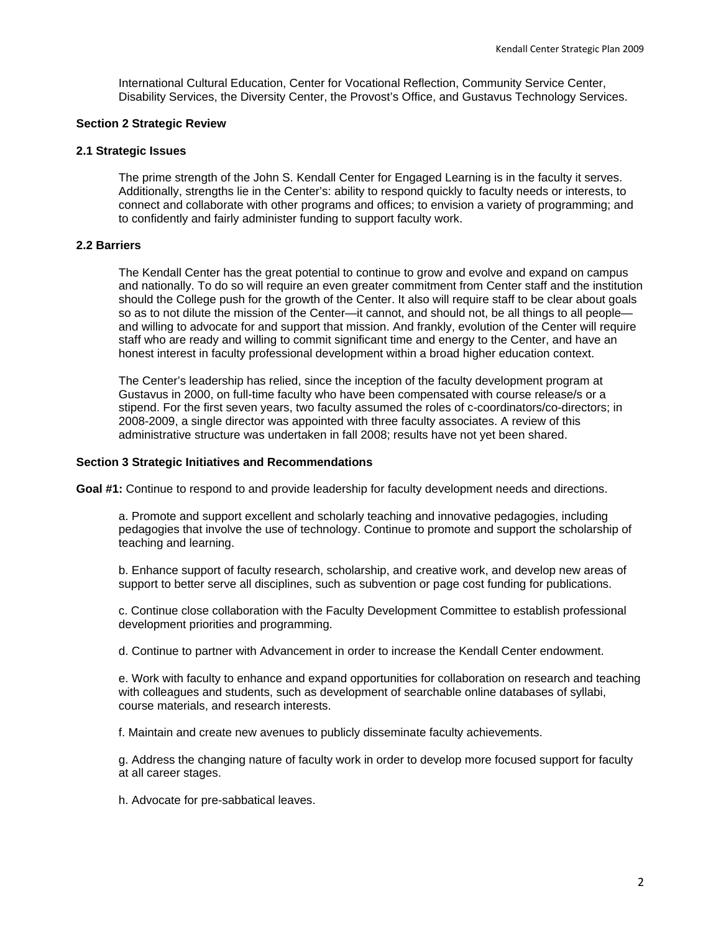International Cultural Education, Center for Vocational Reflection, Community Service Center, Disability Services, the Diversity Center, the Provost's Office, and Gustavus Technology Services.

### **Section 2 Strategic Review**

### **2.1 Strategic Issues**

The prime strength of the John S. Kendall Center for Engaged Learning is in the faculty it serves. Additionally, strengths lie in the Center's: ability to respond quickly to faculty needs or interests, to connect and collaborate with other programs and offices; to envision a variety of programming; and to confidently and fairly administer funding to support faculty work.

# **2.2 Barriers**

The Kendall Center has the great potential to continue to grow and evolve and expand on campus and nationally. To do so will require an even greater commitment from Center staff and the institution should the College push for the growth of the Center. It also will require staff to be clear about goals so as to not dilute the mission of the Center—it cannot, and should not, be all things to all people and willing to advocate for and support that mission. And frankly, evolution of the Center will require staff who are ready and willing to commit significant time and energy to the Center, and have an honest interest in faculty professional development within a broad higher education context.

The Center's leadership has relied, since the inception of the faculty development program at Gustavus in 2000, on full-time faculty who have been compensated with course release/s or a stipend. For the first seven years, two faculty assumed the roles of c-coordinators/co-directors; in 2008-2009, a single director was appointed with three faculty associates. A review of this administrative structure was undertaken in fall 2008; results have not yet been shared.

### **Section 3 Strategic Initiatives and Recommendations**

**Goal #1:** Continue to respond to and provide leadership for faculty development needs and directions.

a. Promote and support excellent and scholarly teaching and innovative pedagogies, including pedagogies that involve the use of technology. Continue to promote and support the scholarship of teaching and learning.

b. Enhance support of faculty research, scholarship, and creative work, and develop new areas of support to better serve all disciplines, such as subvention or page cost funding for publications.

c. Continue close collaboration with the Faculty Development Committee to establish professional development priorities and programming.

d. Continue to partner with Advancement in order to increase the Kendall Center endowment.

e. Work with faculty to enhance and expand opportunities for collaboration on research and teaching with colleagues and students, such as development of searchable online databases of syllabi, course materials, and research interests.

f. Maintain and create new avenues to publicly disseminate faculty achievements.

g. Address the changing nature of faculty work in order to develop more focused support for faculty at all career stages.

h. Advocate for pre-sabbatical leaves.